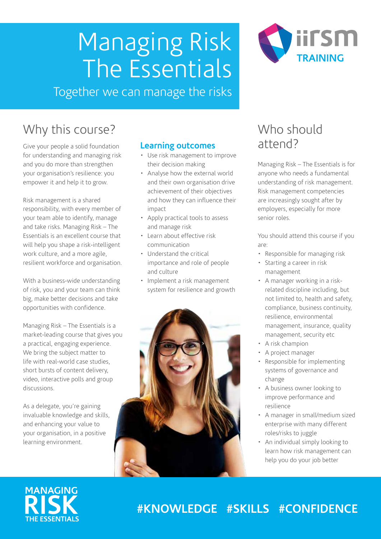# Managing Risk The Essentials



Together we can manage the risks

### Why this course?

Give your people a solid foundation for understanding and managing risk and you do more than strengthen your organisation's resilience: you empower it and help it to grow.

Risk management is a shared responsibility, with every member of your team able to identify, manage and take risks. Managing Risk – The Essentials is an excellent course that will help you shape a risk-intelligent work culture, and a more agile, resilient workforce and organisation.

With a business-wide understanding of risk, you and your team can think big, make better decisions and take opportunities with confidence.

Managing Risk – The Essentials is a market-leading course that gives you a practical, engaging experience. We bring the subject matter to life with real-world case studies, short bursts of content delivery, video, interactive polls and group discussions.

As a delegate, you're gaining invaluable knowledge and skills, and enhancing your value to your organisation, in a positive learning environment.

#### **Learning outcomes**

- Use risk management to improve their decision making
- Analyse how the external world and their own organisation drive achievement of their objectives and how they can influence their impact
- Apply practical tools to assess and manage risk
- Learn about effective risk communication
- Understand the critical importance and role of people and culture
- Implement a risk management system for resilience and growth



### Who should attend?

Managing Risk – The Essentials is for anyone who needs a fundamental understanding of risk management. Risk management competencies are increasingly sought after by employers, especially for more senior roles.

You should attend this course if you are:

- Responsible for managing risk
- Starting a career in risk management
- A manager working in a riskrelated discipline including, but not limited to, health and safety, compliance, business continuity, resilience, environmental management, insurance, quality management, security etc
- A risk champion
- A project manager
- Responsible for implementing systems of governance and change
- A business owner looking to improve performance and resilience
- A manager in small/medium sized enterprise with many different roles/risks to juggle
- An individual simply looking to learn how risk management can help you do your job better

### **MANAGING RISK THE ESSENTIALS**

### **#KNOWLEDGE #SKILLS #CONFIDENCE**